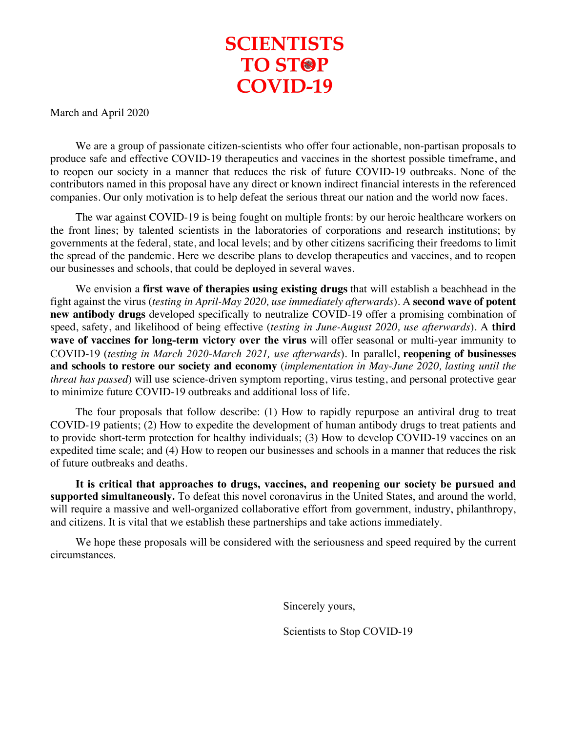# **SCIENTISTS TO ST®P COVID-19**

March and April 2020

We are a group of passionate citizen-scientists who offer four actionable, non-partisan proposals to produce safe and effective COVID-19 therapeutics and vaccines in the shortest possible timeframe, and to reopen our society in a manner that reduces the risk of future COVID-19 outbreaks. None of the contributors named in this proposal have any direct or known indirect financial interests in the referenced companies. Our only motivation is to help defeat the serious threat our nation and the world now faces.

The war against COVID-19 is being fought on multiple fronts: by our heroic healthcare workers on the front lines; by talented scientists in the laboratories of corporations and research institutions; by governments at the federal, state, and local levels; and by other citizens sacrificing their freedoms to limit the spread of the pandemic. Here we describe plans to develop therapeutics and vaccines, and to reopen our businesses and schools, that could be deployed in several waves.

We envision a **first wave of therapies using existing drugs** that will establish a beachhead in the fight against the virus (*testing in April-May 2020, use immediately afterwards*). A **second wave of potent new antibody drugs** developed specifically to neutralize COVID-19 offer a promising combination of speed, safety, and likelihood of being effective (*testing in June-August 2020, use afterwards*). A **third wave of vaccines for long-term victory over the virus** will offer seasonal or multi-year immunity to COVID-19 (*testing in March 2020-March 2021, use afterwards*). In parallel, **reopening of businesses and schools to restore our society and economy** (*implementation in May-June 2020, lasting until the threat has passed*) will use science-driven symptom reporting, virus testing, and personal protective gear to minimize future COVID-19 outbreaks and additional loss of life.

The four proposals that follow describe: (1) How to rapidly repurpose an antiviral drug to treat COVID-19 patients; (2) How to expedite the development of human antibody drugs to treat patients and to provide short-term protection for healthy individuals; (3) How to develop COVID-19 vaccines on an expedited time scale; and (4) How to reopen our businesses and schools in a manner that reduces the risk of future outbreaks and deaths.

**It is critical that approaches to drugs, vaccines, and reopening our society be pursued and supported simultaneously.** To defeat this novel coronavirus in the United States, and around the world, will require a massive and well-organized collaborative effort from government, industry, philanthropy, and citizens. It is vital that we establish these partnerships and take actions immediately.

We hope these proposals will be considered with the seriousness and speed required by the current circumstances.

Sincerely yours,

Scientists to Stop COVID-19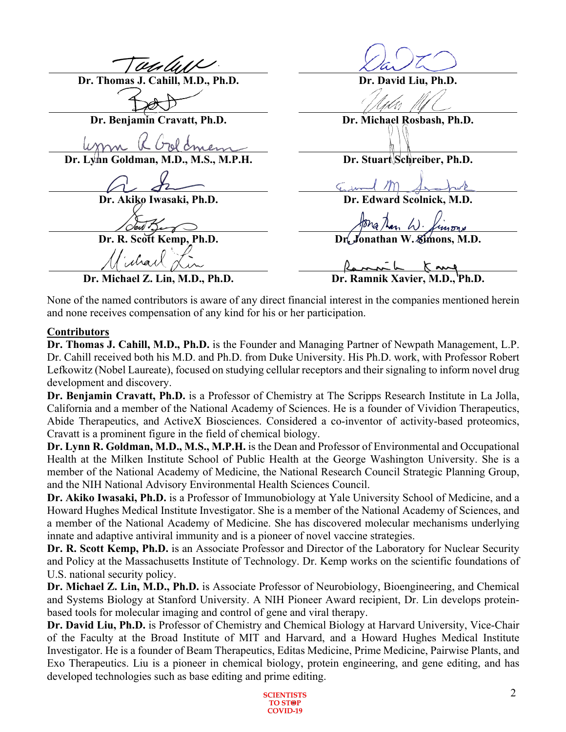WedUt **Dr. Thomas J. Cahill, M.D., Ph.D. Dr. David Liu, Ph.D. Dr. Benjamin Cravatt, Ph.D. Dr. Michael Rosbash, Ph.D. Dr. Lynn Goldman, M.D., M.S., M.P.H. Dr. Stuart Schreiber, Ph.D. Dr. Akiko Iwasaki, Ph.D. Dr. Edward Scolnick, M.D. Dr. R. Scott Kemp, Ph.D. Dr. Jonathan W. Simons, M.D.**  $k \sim$ **Dr. Michael Z. Lin, M.D., Ph.D. Dr. Ramnik Xavier, M.D., Ph.D.**

None of the named contributors is aware of any direct financial interest in the companies mentioned herein and none receives compensation of any kind for his or her participation.

#### **Contributors**

**Dr. Thomas J. Cahill, M.D., Ph.D.** is the Founder and Managing Partner of Newpath Management, L.P. Dr. Cahill received both his M.D. and Ph.D. from Duke University. His Ph.D. work, with Professor Robert Lefkowitz (Nobel Laureate), focused on studying cellular receptors and their signaling to inform novel drug development and discovery.

**Dr. Benjamin Cravatt, Ph.D.** is a Professor of Chemistry at The Scripps Research Institute in La Jolla, California and a member of the National Academy of Sciences. He is a founder of Vividion Therapeutics, Abide Therapeutics, and ActiveX Biosciences. Considered a co-inventor of activity-based proteomics, Cravatt is a prominent figure in the field of chemical biology.

**Dr. Lynn R. Goldman, M.D., M.S., M.P.H.** is the Dean and Professor of Environmental and Occupational Health at the Milken Institute School of Public Health at the George Washington University. She is a member of the National Academy of Medicine, the National Research Council Strategic Planning Group, and the NIH National Advisory Environmental Health Sciences Council.

**Dr. Akiko Iwasaki, Ph.D.** is a Professor of Immunobiology at Yale University School of Medicine, and a Howard Hughes Medical Institute Investigator. She is a member of the National Academy of Sciences, and a member of the National Academy of Medicine. She has discovered molecular mechanisms underlying innate and adaptive antiviral immunity and is a pioneer of novel vaccine strategies.

**Dr. R. Scott Kemp, Ph.D.** is an Associate Professor and Director of the Laboratory for Nuclear Security and Policy at the Massachusetts Institute of Technology. Dr. Kemp works on the scientific foundations of U.S. national security policy.

**Dr. Michael Z. Lin, M.D., Ph.D.** is Associate Professor of Neurobiology, Bioengineering, and Chemical and Systems Biology at Stanford University. A NIH Pioneer Award recipient, Dr. Lin develops proteinbased tools for molecular imaging and control of gene and viral therapy.

**Dr. David Liu, Ph.D.** is Professor of Chemistry and Chemical Biology at Harvard University, Vice-Chair of the Faculty at the Broad Institute of MIT and Harvard, and a Howard Hughes Medical Institute Investigator. He is a founder of Beam Therapeutics, Editas Medicine, Prime Medicine, Pairwise Plants, and Exo Therapeutics. Liu is a pioneer in chemical biology, protein engineering, and gene editing, and has developed technologies such as base editing and prime editing.

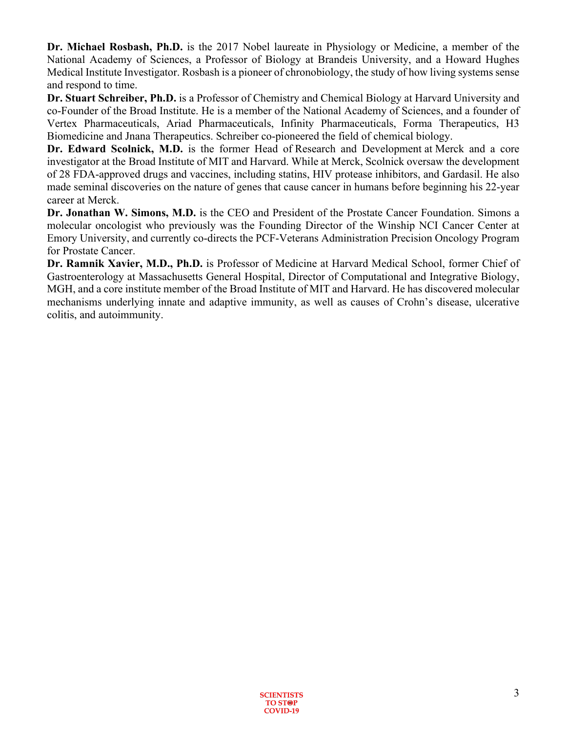**Dr. Michael Rosbash, Ph.D.** is the 2017 Nobel laureate in Physiology or Medicine, a member of the National Academy of Sciences, a Professor of Biology at Brandeis University, and a Howard Hughes Medical Institute Investigator. Rosbash is a pioneer of chronobiology, the study of how living systems sense and respond to time.

**Dr. Stuart Schreiber, Ph.D.** is a Professor of Chemistry and Chemical Biology at Harvard University and co-Founder of the Broad Institute. He is a member of the National Academy of Sciences, and a founder of Vertex Pharmaceuticals, Ariad Pharmaceuticals, Infinity Pharmaceuticals, Forma Therapeutics, H3 Biomedicine and Jnana Therapeutics. Schreiber co-pioneered the field of chemical biology.

**Dr. Edward Scolnick, M.D.** is the former Head of Research and Development at Merck and a core investigator at the Broad Institute of MIT and Harvard. While at Merck, Scolnick oversaw the development of 28 FDA-approved drugs and vaccines, including statins, HIV protease inhibitors, and Gardasil. He also made seminal discoveries on the nature of genes that cause cancer in humans before beginning his 22-year career at Merck.

**Dr. Jonathan W. Simons, M.D.** is the CEO and President of the Prostate Cancer Foundation. Simons a molecular oncologist who previously was the Founding Director of the Winship NCI Cancer Center at Emory University, and currently co-directs the PCF-Veterans Administration Precision Oncology Program for Prostate Cancer.

**Dr. Ramnik Xavier, M.D., Ph.D.** is Professor of Medicine at Harvard Medical School, former Chief of Gastroenterology at Massachusetts General Hospital, Director of Computational and Integrative Biology, MGH, and a core institute member of the Broad Institute of MIT and Harvard. He has discovered molecular mechanisms underlying innate and adaptive immunity, as well as causes of Crohn's disease, ulcerative colitis, and autoimmunity.

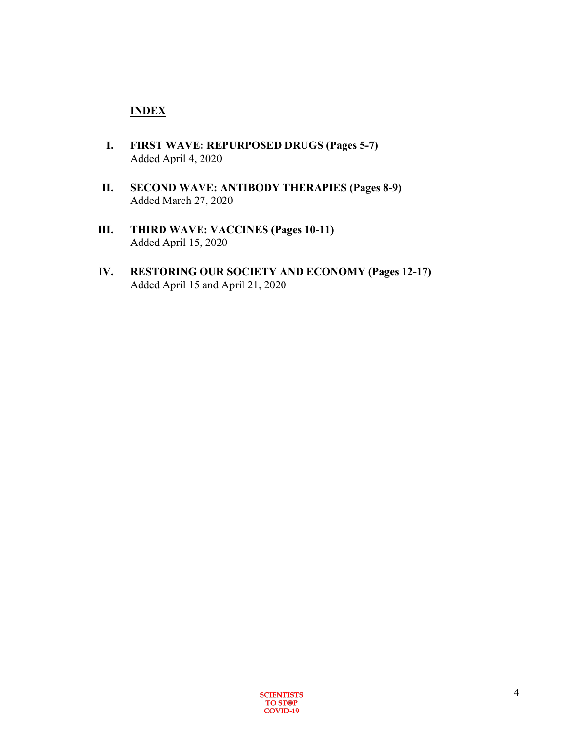#### **INDEX**

- **I. FIRST WAVE: REPURPOSED DRUGS (Pages 5-7)** Added April 4, 2020
- **II. SECOND WAVE: ANTIBODY THERAPIES (Pages 8-9)** Added March 27, 2020
- **III. THIRD WAVE: VACCINES (Pages 10-11)** Added April 15, 2020
- **IV. RESTORING OUR SOCIETY AND ECONOMY (Pages 12-17)** Added April 15 and April 21, 2020

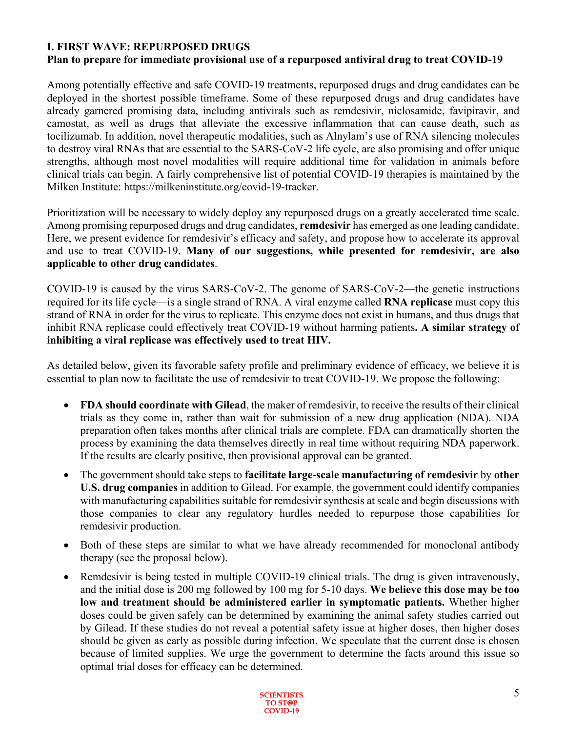#### **I. FIRST WAVE: REPURPOSED DRUGS Plan to prepare for immediate provisional use of a repurposed antiviral drug to treat COVID-19**

Among potentially effective and safe COVID-19 treatments, repurposed drugs and drug candidates can be deployed in the shortest possible timeframe. Some of these repurposed drugs and drug candidates have already garnered promising data, including antivirals such as remdesivir, niclosamide, favipiravir, and camostat, as well as drugs that alleviate the excessive inflammation that can cause death, such as tocilizumab. In addition, novel therapeutic modalities, such as Alnylam's use of RNA silencing molecules to destroy viral RNAs that are essential to the SARS-CoV-2 life cycle, are also promising and offer unique strengths, although most novel modalities will require additional time for validation in animals before clinical trials can begin. A fairly comprehensive list of potential COVID-19 therapies is maintained by the Milken Institute: https://milkeninstitute.org/covid-19-tracker.

Prioritization will be necessary to widely deploy any repurposed drugs on a greatly accelerated time scale. Among promising repurposed drugs and drug candidates, **remdesivir** has emerged as one leading candidate. Here, we present evidence for remdesivir's efficacy and safety, and propose how to accelerate its approval and use to treat COVID-19. **Many of our suggestions, while presented for remdesivir, are also applicable to other drug candidates**.

COVID-19 is caused by the virus SARS-CoV-2. The genome of SARS-CoV-2—the genetic instructions required for its life cycle—is a single strand of RNA. A viral enzyme called **RNA replicase** must copy this strand of RNA in order for the virus to replicate. This enzyme does not exist in humans, and thus drugs that inhibit RNA replicase could effectively treat COVID-19 without harming patients**. A similar strategy of inhibiting a viral replicase was effectively used to treat HIV.**

As detailed below, given its favorable safety profile and preliminary evidence of efficacy, we believe it is essential to plan now to facilitate the use of remdesivir to treat COVID-19. We propose the following:

- **FDA should coordinate with Gilead**, the maker of remdesivir, to receive the results of their clinical trials as they come in, rather than wait for submission of a new drug application (NDA). NDA preparation often takes months after clinical trials are complete. FDA can dramatically shorten the process by examining the data themselves directly in real time without requiring NDA paperwork. If the results are clearly positive, then provisional approval can be granted.
- The government should take steps to **facilitate large-scale manufacturing of remdesivir** by **other U.S. drug companies** in addition to Gilead. For example, the government could identify companies with manufacturing capabilities suitable for remdesivir synthesis at scale and begin discussions with those companies to clear any regulatory hurdles needed to repurpose those capabilities for remdesivir production.
- Both of these steps are similar to what we have already recommended for monoclonal antibody therapy (see the proposal below).
- Remdesivir is being tested in multiple COVID-19 clinical trials. The drug is given intravenously, and the initial dose is 200 mg followed by 100 mg for 5-10 days. **We believe this dose may be too low and treatment should be administered earlier in symptomatic patients.** Whether higher doses could be given safely can be determined by examining the animal safety studies carried out by Gilead. If these studies do not reveal a potential safety issue at higher doses, then higher doses should be given as early as possible during infection. We speculate that the current dose is chosen because of limited supplies. We urge the government to determine the facts around this issue so optimal trial doses for efficacy can be determined.

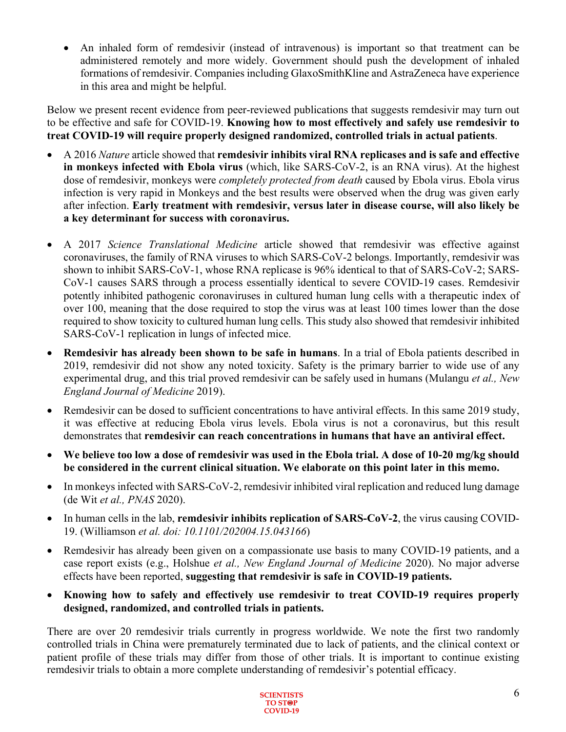• An inhaled form of remdesivir (instead of intravenous) is important so that treatment can be administered remotely and more widely. Government should push the development of inhaled formations of remdesivir. Companies including GlaxoSmithKline and AstraZeneca have experience in this area and might be helpful.

Below we present recent evidence from peer-reviewed publications that suggests remdesivir may turn out to be effective and safe for COVID-19. **Knowing how to most effectively and safely use remdesivir to treat COVID-19 will require properly designed randomized, controlled trials in actual patients**.

- A 2016 *Nature* article showed that **remdesivir inhibits viral RNA replicases and is safe and effective in monkeys infected with Ebola virus** (which, like SARS-CoV-2, is an RNA virus). At the highest dose of remdesivir, monkeys were *completely protected from death* caused by Ebola virus. Ebola virus infection is very rapid in Monkeys and the best results were observed when the drug was given early after infection. **Early treatment with remdesivir, versus later in disease course, will also likely be a key determinant for success with coronavirus.**
- A 2017 *Science Translational Medicine* article showed that remdesivir was effective against coronaviruses, the family of RNA viruses to which SARS-CoV-2 belongs. Importantly, remdesivir was shown to inhibit SARS-CoV-1, whose RNA replicase is 96% identical to that of SARS-CoV-2; SARS-CoV-1 causes SARS through a process essentially identical to severe COVID-19 cases. Remdesivir potently inhibited pathogenic coronaviruses in cultured human lung cells with a therapeutic index of over 100, meaning that the dose required to stop the virus was at least 100 times lower than the dose required to show toxicity to cultured human lung cells. This study also showed that remdesivir inhibited SARS-CoV-1 replication in lungs of infected mice.
- **Remdesivir has already been shown to be safe in humans**. In a trial of Ebola patients described in 2019, remdesivir did not show any noted toxicity. Safety is the primary barrier to wide use of any experimental drug, and this trial proved remdesivir can be safely used in humans (Mulangu *et al., New England Journal of Medicine* 2019).
- Remdesivir can be dosed to sufficient concentrations to have antiviral effects. In this same 2019 study, it was effective at reducing Ebola virus levels. Ebola virus is not a coronavirus, but this result demonstrates that **remdesivir can reach concentrations in humans that have an antiviral effect.**
- **We believe too low a dose of remdesivir was used in the Ebola trial. A dose of 10-20 mg/kg should be considered in the current clinical situation. We elaborate on this point later in this memo.**
- In monkeys infected with SARS-CoV-2, remdesivir inhibited viral replication and reduced lung damage (de Wit *et al., PNAS* 2020).
- In human cells in the lab, **remdesivir inhibits replication of SARS-CoV-2**, the virus causing COVID-19. (Williamson *et al. doi: 10.1101/202004.15.043166*)
- Remdesivir has already been given on a compassionate use basis to many COVID-19 patients, and a case report exists (e.g., Holshue *et al., New England Journal of Medicine* 2020). No major adverse effects have been reported, **suggesting that remdesivir is safe in COVID-19 patients.**
- **Knowing how to safely and effectively use remdesivir to treat COVID-19 requires properly designed, randomized, and controlled trials in patients.**

There are over 20 remdesivir trials currently in progress worldwide. We note the first two randomly controlled trials in China were prematurely terminated due to lack of patients, and the clinical context or patient profile of these trials may differ from those of other trials. It is important to continue existing remdesivir trials to obtain a more complete understanding of remdesivir's potential efficacy.

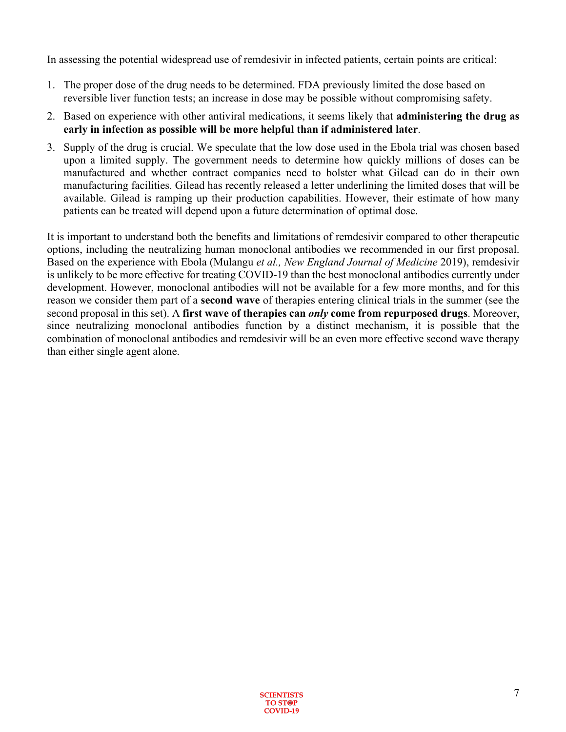In assessing the potential widespread use of remdesivir in infected patients, certain points are critical:

- 1. The proper dose of the drug needs to be determined. FDA previously limited the dose based on reversible liver function tests; an increase in dose may be possible without compromising safety.
- 2. Based on experience with other antiviral medications, it seems likely that **administering the drug as early in infection as possible will be more helpful than if administered later**.
- 3. Supply of the drug is crucial. We speculate that the low dose used in the Ebola trial was chosen based upon a limited supply. The government needs to determine how quickly millions of doses can be manufactured and whether contract companies need to bolster what Gilead can do in their own manufacturing facilities. Gilead has recently released a letter underlining the limited doses that will be available. Gilead is ramping up their production capabilities. However, their estimate of how many patients can be treated will depend upon a future determination of optimal dose.

It is important to understand both the benefits and limitations of remdesivir compared to other therapeutic options, including the neutralizing human monoclonal antibodies we recommended in our first proposal. Based on the experience with Ebola (Mulangu *et al., New England Journal of Medicine* 2019), remdesivir is unlikely to be more effective for treating COVID-19 than the best monoclonal antibodies currently under development. However, monoclonal antibodies will not be available for a few more months, and for this reason we consider them part of a **second wave** of therapies entering clinical trials in the summer (see the second proposal in this set). A **first wave of therapies can** *only* **come from repurposed drugs**. Moreover, since neutralizing monoclonal antibodies function by a distinct mechanism, it is possible that the combination of monoclonal antibodies and remdesivir will be an even more effective second wave therapy than either single agent alone.

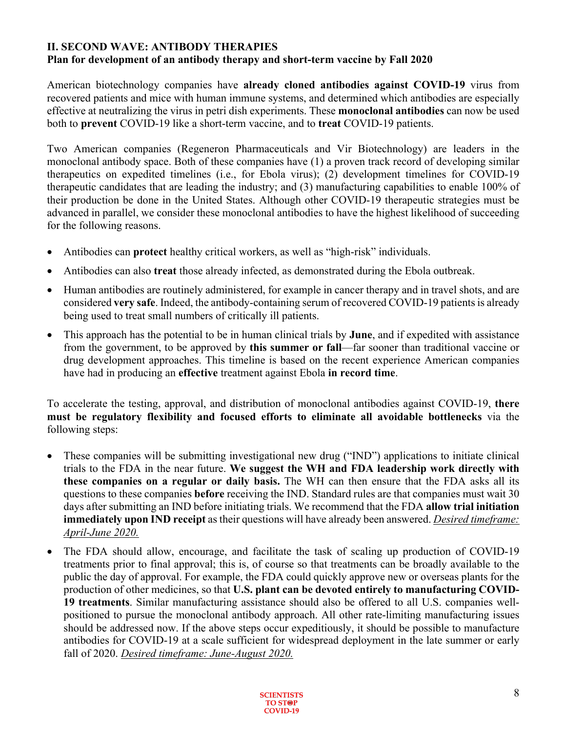## **II. SECOND WAVE: ANTIBODY THERAPIES Plan for development of an antibody therapy and short-term vaccine by Fall 2020**

American biotechnology companies have **already cloned antibodies against COVID-19** virus from recovered patients and mice with human immune systems, and determined which antibodies are especially effective at neutralizing the virus in petri dish experiments. These **monoclonal antibodies** can now be used both to **prevent** COVID-19 like a short-term vaccine, and to **treat** COVID-19 patients.

Two American companies (Regeneron Pharmaceuticals and Vir Biotechnology) are leaders in the monoclonal antibody space. Both of these companies have (1) a proven track record of developing similar therapeutics on expedited timelines (i.e., for Ebola virus); (2) development timelines for COVID-19 therapeutic candidates that are leading the industry; and (3) manufacturing capabilities to enable 100% of their production be done in the United States. Although other COVID-19 therapeutic strategies must be advanced in parallel, we consider these monoclonal antibodies to have the highest likelihood of succeeding for the following reasons.

- Antibodies can **protect** healthy critical workers, as well as "high-risk" individuals.
- Antibodies can also **treat** those already infected, as demonstrated during the Ebola outbreak.
- Human antibodies are routinely administered, for example in cancer therapy and in travel shots, and are considered **very safe**. Indeed, the antibody-containing serum of recovered COVID-19 patients is already being used to treat small numbers of critically ill patients.
- This approach has the potential to be in human clinical trials by **June**, and if expedited with assistance from the government, to be approved by **this summer or fall**—far sooner than traditional vaccine or drug development approaches. This timeline is based on the recent experience American companies have had in producing an **effective** treatment against Ebola **in record time**.

To accelerate the testing, approval, and distribution of monoclonal antibodies against COVID-19, **there must be regulatory flexibility and focused efforts to eliminate all avoidable bottlenecks** via the following steps:

- These companies will be submitting investigational new drug ("IND") applications to initiate clinical trials to the FDA in the near future. **We suggest the WH and FDA leadership work directly with these companies on a regular or daily basis.** The WH can then ensure that the FDA asks all its questions to these companies **before** receiving the IND. Standard rules are that companies must wait 30 days after submitting an IND before initiating trials. We recommend that the FDA **allow trial initiation immediately upon IND receipt** as their questions will have already been answered. *Desired timeframe: April-June 2020.*
- The FDA should allow, encourage, and facilitate the task of scaling up production of COVID-19 treatments prior to final approval; this is, of course so that treatments can be broadly available to the public the day of approval. For example, the FDA could quickly approve new or overseas plants for the production of other medicines, so that **U.S. plant can be devoted entirely to manufacturing COVID-19 treatments**. Similar manufacturing assistance should also be offered to all U.S. companies wellpositioned to pursue the monoclonal antibody approach. All other rate-limiting manufacturing issues should be addressed now. If the above steps occur expeditiously, it should be possible to manufacture antibodies for COVID-19 at a scale sufficient for widespread deployment in the late summer or early fall of 2020. *Desired timeframe: June-August 2020.*

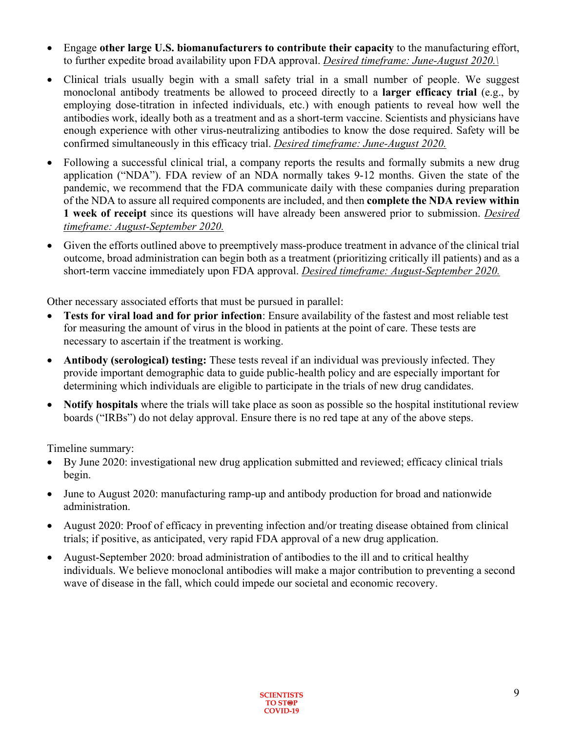- Engage **other large U.S. biomanufacturers to contribute their capacity** to the manufacturing effort, to further expedite broad availability upon FDA approval. *Desired timeframe: June-August 2020.\*
- Clinical trials usually begin with a small safety trial in a small number of people. We suggest monoclonal antibody treatments be allowed to proceed directly to a **larger efficacy trial** (e.g., by employing dose-titration in infected individuals, etc.) with enough patients to reveal how well the antibodies work, ideally both as a treatment and as a short-term vaccine. Scientists and physicians have enough experience with other virus-neutralizing antibodies to know the dose required. Safety will be confirmed simultaneously in this efficacy trial. *Desired timeframe: June-August 2020.*
- Following a successful clinical trial, a company reports the results and formally submits a new drug application ("NDA"). FDA review of an NDA normally takes 9-12 months. Given the state of the pandemic, we recommend that the FDA communicate daily with these companies during preparation of the NDA to assure all required components are included, and then **complete the NDA review within 1 week of receipt** since its questions will have already been answered prior to submission. *Desired timeframe: August-September 2020.*
- Given the efforts outlined above to preemptively mass-produce treatment in advance of the clinical trial outcome, broad administration can begin both as a treatment (prioritizing critically ill patients) and as a short-term vaccine immediately upon FDA approval. *Desired timeframe: August-September 2020.*

Other necessary associated efforts that must be pursued in parallel:

- **Tests for viral load and for prior infection**: Ensure availability of the fastest and most reliable test for measuring the amount of virus in the blood in patients at the point of care. These tests are necessary to ascertain if the treatment is working.
- **Antibody (serological) testing:** These tests reveal if an individual was previously infected. They provide important demographic data to guide public-health policy and are especially important for determining which individuals are eligible to participate in the trials of new drug candidates.
- **Notify hospitals** where the trials will take place as soon as possible so the hospital institutional review boards ("IRBs") do not delay approval. Ensure there is no red tape at any of the above steps.

Timeline summary:

- By June 2020: investigational new drug application submitted and reviewed; efficacy clinical trials begin.
- June to August 2020: manufacturing ramp-up and antibody production for broad and nationwide administration.
- August 2020: Proof of efficacy in preventing infection and/or treating disease obtained from clinical trials; if positive, as anticipated, very rapid FDA approval of a new drug application.
- August-September 2020: broad administration of antibodies to the ill and to critical healthy individuals. We believe monoclonal antibodies will make a major contribution to preventing a second wave of disease in the fall, which could impede our societal and economic recovery.

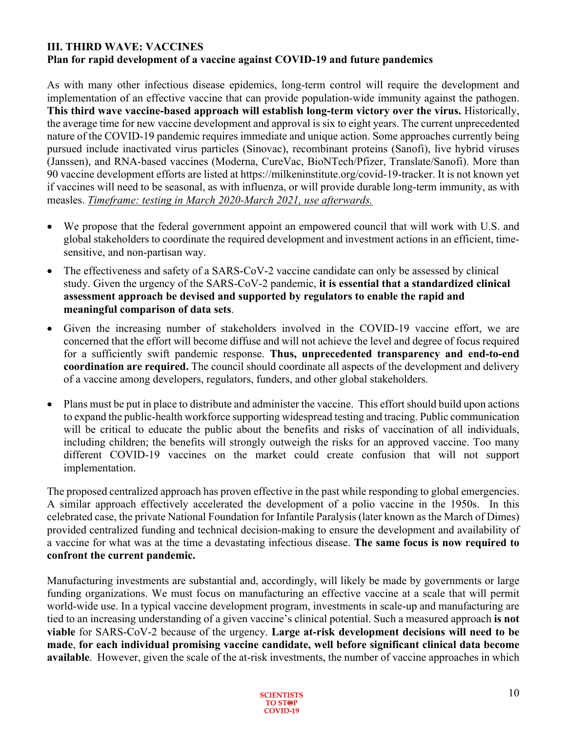## **III. THIRD WAVE: VACCINES Plan for rapid development of a vaccine against COVID-19 and future pandemics**

As with many other infectious disease epidemics, long-term control will require the development and implementation of an effective vaccine that can provide population-wide immunity against the pathogen. **This third wave vaccine-based approach will establish long-term victory over the virus.** Historically, the average time for new vaccine development and approval is six to eight years. The current unprecedented nature of the COVID-19 pandemic requires immediate and unique action. Some approaches currently being pursued include inactivated virus particles (Sinovac), recombinant proteins (Sanofi), live hybrid viruses (Janssen), and RNA-based vaccines (Moderna, CureVac, BioNTech/Pfizer, Translate/Sanofi). More than 90 vaccine development efforts are listed at https://milkeninstitute.org/covid-19-tracker. It is not known yet if vaccines will need to be seasonal, as with influenza, or will provide durable long-term immunity, as with measles. *Timeframe: testing in March 2020-March 2021, use afterwards.*

- We propose that the federal government appoint an empowered council that will work with U.S. and global stakeholders to coordinate the required development and investment actions in an efficient, timesensitive, and non-partisan way.
- The effectiveness and safety of a SARS-CoV-2 vaccine candidate can only be assessed by clinical study. Given the urgency of the SARS-CoV-2 pandemic, **it is essential that a standardized clinical assessment approach be devised and supported by regulators to enable the rapid and meaningful comparison of data sets**.
- Given the increasing number of stakeholders involved in the COVID-19 vaccine effort, we are concerned that the effort will become diffuse and will not achieve the level and degree of focus required for a sufficiently swift pandemic response. **Thus, unprecedented transparency and end-to-end coordination are required.** The council should coordinate all aspects of the development and delivery of a vaccine among developers, regulators, funders, and other global stakeholders.
- Plans must be put in place to distribute and administer the vaccine. This effort should build upon actions to expand the public-health workforce supporting widespread testing and tracing. Public communication will be critical to educate the public about the benefits and risks of vaccination of all individuals, including children; the benefits will strongly outweigh the risks for an approved vaccine. Too many different COVID-19 vaccines on the market could create confusion that will not support implementation.

The proposed centralized approach has proven effective in the past while responding to global emergencies. A similar approach effectively accelerated the development of a polio vaccine in the 1950s. In this celebrated case, the private National Foundation for Infantile Paralysis (later known as the March of Dimes) provided centralized funding and technical decision-making to ensure the development and availability of a vaccine for what was at the time a devastating infectious disease. **The same focus is now required to confront the current pandemic.**

Manufacturing investments are substantial and, accordingly, will likely be made by governments or large funding organizations. We must focus on manufacturing an effective vaccine at a scale that will permit world-wide use. In a typical vaccine development program, investments in scale-up and manufacturing are tied to an increasing understanding of a given vaccine's clinical potential. Such a measured approach **is not viable** for SARS-CoV-2 because of the urgency. **Large at-risk development decisions will need to be made**, **for each individual promising vaccine candidate, well before significant clinical data become available**. However, given the scale of the at-risk investments, the number of vaccine approaches in which

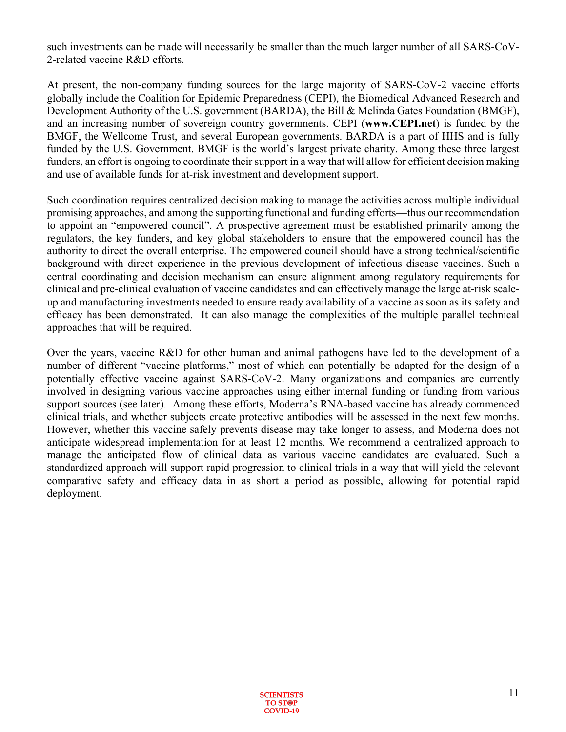such investments can be made will necessarily be smaller than the much larger number of all SARS-CoV-2-related vaccine R&D efforts.

At present, the non-company funding sources for the large majority of SARS-CoV-2 vaccine efforts globally include the Coalition for Epidemic Preparedness (CEPI), the Biomedical Advanced Research and Development Authority of the U.S. government (BARDA), the Bill & Melinda Gates Foundation (BMGF), and an increasing number of sovereign country governments. CEPI (**www.CEPI.net**) is funded by the BMGF, the Wellcome Trust, and several European governments. BARDA is a part of HHS and is fully funded by the U.S. Government. BMGF is the world's largest private charity. Among these three largest funders, an effort is ongoing to coordinate their support in a way that will allow for efficient decision making and use of available funds for at-risk investment and development support.

Such coordination requires centralized decision making to manage the activities across multiple individual promising approaches, and among the supporting functional and funding efforts—thus our recommendation to appoint an "empowered council". A prospective agreement must be established primarily among the regulators, the key funders, and key global stakeholders to ensure that the empowered council has the authority to direct the overall enterprise. The empowered council should have a strong technical/scientific background with direct experience in the previous development of infectious disease vaccines. Such a central coordinating and decision mechanism can ensure alignment among regulatory requirements for clinical and pre-clinical evaluation of vaccine candidates and can effectively manage the large at-risk scaleup and manufacturing investments needed to ensure ready availability of a vaccine as soon as its safety and efficacy has been demonstrated. It can also manage the complexities of the multiple parallel technical approaches that will be required.

Over the years, vaccine R&D for other human and animal pathogens have led to the development of a number of different "vaccine platforms," most of which can potentially be adapted for the design of a potentially effective vaccine against SARS-CoV-2. Many organizations and companies are currently involved in designing various vaccine approaches using either internal funding or funding from various support sources (see later). Among these efforts, Moderna's RNA-based vaccine has already commenced clinical trials, and whether subjects create protective antibodies will be assessed in the next few months. However, whether this vaccine safely prevents disease may take longer to assess, and Moderna does not anticipate widespread implementation for at least 12 months. We recommend a centralized approach to manage the anticipated flow of clinical data as various vaccine candidates are evaluated. Such a standardized approach will support rapid progression to clinical trials in a way that will yield the relevant comparative safety and efficacy data in as short a period as possible, allowing for potential rapid deployment.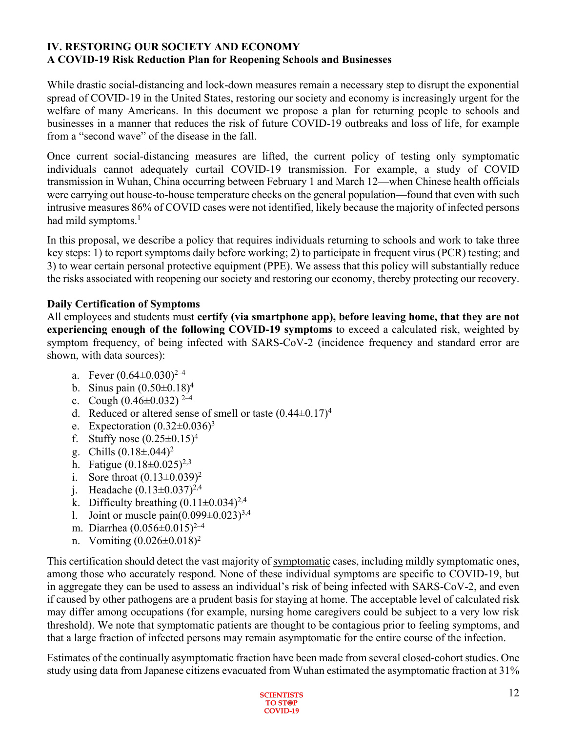## **IV. RESTORING OUR SOCIETY AND ECONOMY A COVID-19 Risk Reduction Plan for Reopening Schools and Businesses**

While drastic social-distancing and lock-down measures remain a necessary step to disrupt the exponential spread of COVID-19 in the United States, restoring our society and economy is increasingly urgent for the welfare of many Americans. In this document we propose a plan for returning people to schools and businesses in a manner that reduces the risk of future COVID-19 outbreaks and loss of life, for example from a "second wave" of the disease in the fall.

Once current social-distancing measures are lifted, the current policy of testing only symptomatic individuals cannot adequately curtail COVID-19 transmission. For example, a study of COVID transmission in Wuhan, China occurring between February 1 and March 12—when Chinese health officials were carrying out house-to-house temperature checks on the general population—found that even with such intrusive measures 86% of COVID cases were not identified, likely because the majority of infected persons had mild symptoms. $<sup>1</sup>$ </sup>

In this proposal, we describe a policy that requires individuals returning to schools and work to take three key steps: 1) to report symptoms daily before working; 2) to participate in frequent virus (PCR) testing; and 3) to wear certain personal protective equipment (PPE). We assess that this policy will substantially reduce the risks associated with reopening our society and restoring our economy, thereby protecting our recovery.

## **Daily Certification of Symptoms**

All employees and students must **certify (via smartphone app), before leaving home, that they are not experiencing enough of the following COVID-19 symptoms** to exceed a calculated risk, weighted by symptom frequency, of being infected with SARS-CoV-2 (incidence frequency and standard error are shown, with data sources):

- a. Fever  $(0.64\pm0.030)^{2-4}$
- b. Sinus pain  $(0.50\pm0.18)^4$
- c. Cough  $(0.46\pm0.032)^{2-4}$
- d. Reduced or altered sense of smell or taste  $(0.44 \pm 0.17)^4$
- e. Expectoration  $(0.32\pm0.036)^3$
- f. Stuffy nose  $(0.25 \pm 0.15)^4$
- g. Chills  $(0.18\pm.044)^2$
- h. Fatigue  $(0.18\pm0.025)^{2,3}$
- i. Sore throat  $(0.13 \pm 0.039)^2$
- j. Headache  $(0.13\pm0.037)^{2,4}$
- k. Difficulty breathing  $(0.11\pm0.034)^{2,4}$
- 1. Joint or muscle pain $(0.099 \pm 0.023)^{3,4}$
- m. Diarrhea  $(0.056 \pm 0.015)^{2-4}$
- n. Vomiting  $(0.026 \pm 0.018)^2$

This certification should detect the vast majority of symptomatic cases, including mildly symptomatic ones, among those who accurately respond. None of these individual symptoms are specific to COVID-19, but in aggregate they can be used to assess an individual's risk of being infected with SARS-CoV-2, and even if caused by other pathogens are a prudent basis for staying at home. The acceptable level of calculated risk may differ among occupations (for example, nursing home caregivers could be subject to a very low risk threshold). We note that symptomatic patients are thought to be contagious prior to feeling symptoms, and that a large fraction of infected persons may remain asymptomatic for the entire course of the infection.

Estimates of the continually asymptomatic fraction have been made from several closed-cohort studies. One study using data from Japanese citizens evacuated from Wuhan estimated the asymptomatic fraction at 31%

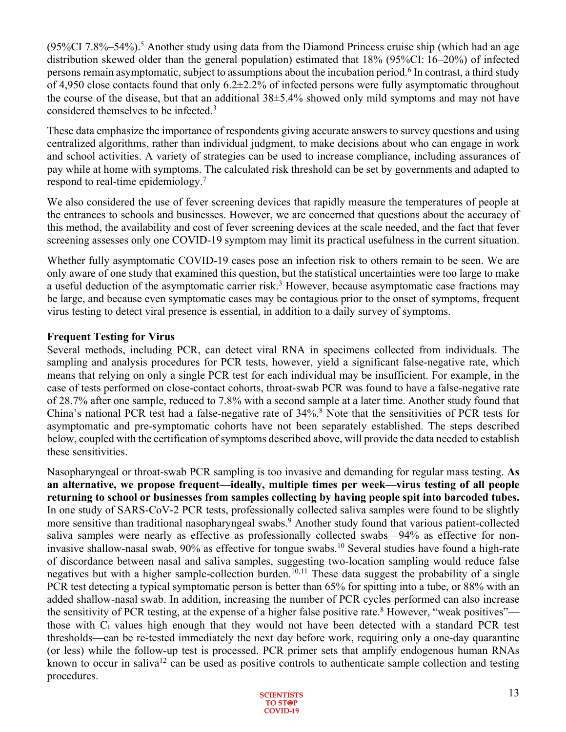$(95\%CI$  7.8%–54%).<sup>5</sup> Another study using data from the Diamond Princess cruise ship (which had an age distribution skewed older than the general population) estimated that 18% (95%CI: 16–20%) of infected persons remain asymptomatic, subject to assumptions about the incubation period.<sup>6</sup> In contrast, a third study of 4,950 close contacts found that only 6.2±2.2% of infected persons were fully asymptomatic throughout the course of the disease, but that an additional  $38\pm5.4\%$  showed only mild symptoms and may not have considered themselves to be infected.<sup>3</sup>

These data emphasize the importance of respondents giving accurate answers to survey questions and using centralized algorithms, rather than individual judgment, to make decisions about who can engage in work and school activities. A variety of strategies can be used to increase compliance, including assurances of pay while at home with symptoms. The calculated risk threshold can be set by governments and adapted to respond to real-time epidemiology.<sup>7</sup>

We also considered the use of fever screening devices that rapidly measure the temperatures of people at the entrances to schools and businesses. However, we are concerned that questions about the accuracy of this method, the availability and cost of fever screening devices at the scale needed, and the fact that fever screening assesses only one COVID-19 symptom may limit its practical usefulness in the current situation.

Whether fully asymptomatic COVID-19 cases pose an infection risk to others remain to be seen. We are only aware of one study that examined this question, but the statistical uncertainties were too large to make a useful deduction of the asymptomatic carrier risk.<sup>3</sup> However, because asymptomatic case fractions may be large, and because even symptomatic cases may be contagious prior to the onset of symptoms, frequent virus testing to detect viral presence is essential, in addition to a daily survey of symptoms.

#### **Frequent Testing for Virus**

Several methods, including PCR, can detect viral RNA in specimens collected from individuals. The sampling and analysis procedures for PCR tests, however, yield a significant false-negative rate, which means that relying on only a single PCR test for each individual may be insufficient. For example, in the case of tests performed on close-contact cohorts, throat-swab PCR was found to have a false-negative rate of 28.7% after one sample, reduced to 7.8% with a second sample at a later time. Another study found that China's national PCR test had a false-negative rate of 34%.8 Note that the sensitivities of PCR tests for asymptomatic and pre-symptomatic cohorts have not been separately established. The steps described below, coupled with the certification of symptoms described above, will provide the data needed to establish these sensitivities.

Nasopharyngeal or throat-swab PCR sampling is too invasive and demanding for regular mass testing. **As an alternative, we propose frequent—ideally, multiple times per week—virus testing of all people returning to school or businesses from samples collecting by having people spit into barcoded tubes.** In one study of SARS-CoV-2 PCR tests, professionally collected saliva samples were found to be slightly more sensitive than traditional nasopharyngeal swabs. <sup>9</sup> Another study found that various patient-collected saliva samples were nearly as effective as professionally collected swabs—94% as effective for noninvasive shallow-nasal swab, 90% as effective for tongue swabs. <sup>10</sup> Several studies have found a high-rate of discordance between nasal and saliva samples, suggesting two-location sampling would reduce false negatives but with a higher sample-collection burden.<sup>10,11</sup> These data suggest the probability of a single PCR test detecting a typical symptomatic person is better than 65% for spitting into a tube, or 88% with an added shallow-nasal swab. In addition, increasing the number of PCR cycles performed can also increase the sensitivity of PCR testing, at the expense of a higher false positive rate.<sup>8</sup> However, "weak positives" those with  $C_t$  values high enough that they would not have been detected with a standard PCR test thresholds—can be re-tested immediately the next day before work, requiring only a one-day quarantine (or less) while the follow-up test is processed. PCR primer sets that amplify endogenous human RNAs known to occur in saliva<sup>12</sup> can be used as positive controls to authenticate sample collection and testing procedures.

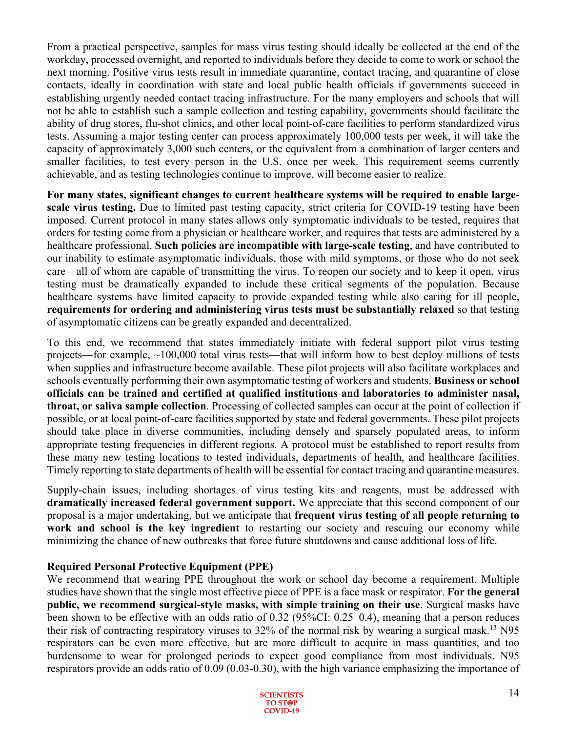From a practical perspective, samples for mass virus testing should ideally be collected at the end of the workday, processed overnight, and reported to individuals before they decide to come to work or school the next morning. Positive virus tests result in immediate quarantine, contact tracing, and quarantine of close contacts, ideally in coordination with state and local public health officials if governments succeed in establishing urgently needed contact tracing infrastructure. For the many employers and schools that will not be able to establish such a sample collection and testing capability, governments should facilitate the ability of drug stores, flu-shot clinics, and other local point-of-care facilities to perform standardized virus tests. Assuming a major testing center can process approximately 100,000 tests per week, it will take the capacity of approximately 3,000 such centers, or the equivalent from a combination of larger centers and smaller facilities, to test every person in the U.S. once per week. This requirement seems currently achievable, and as testing technologies continue to improve, will become easier to realize.

**For many states, significant changes to current healthcare systems will be required to enable largescale virus testing.** Due to limited past testing capacity, strict criteria for COVID-19 testing have been imposed. Current protocol in many states allows only symptomatic individuals to be tested, requires that orders for testing come from a physician or healthcare worker, and requires that tests are administered by a healthcare professional. **Such policies are incompatible with large-scale testing**, and have contributed to our inability to estimate asymptomatic individuals, those with mild symptoms, or those who do not seek care—all of whom are capable of transmitting the virus. To reopen our society and to keep it open, virus testing must be dramatically expanded to include these critical segments of the population. Because healthcare systems have limited capacity to provide expanded testing while also caring for ill people, **requirements for ordering and administering virus tests must be substantially relaxed** so that testing of asymptomatic citizens can be greatly expanded and decentralized.

To this end, we recommend that states immediately initiate with federal support pilot virus testing projects—for example, ~100,000 total virus tests—that will inform how to best deploy millions of tests when supplies and infrastructure become available. These pilot projects will also facilitate workplaces and schools eventually performing their own asymptomatic testing of workers and students. **Business or school officials can be trained and certified at qualified institutions and laboratories to administer nasal, throat, or saliva sample collection**. Processing of collected samples can occur at the point of collection if possible, or at local point-of-care facilities supported by state and federal governments. These pilot projects should take place in diverse communities, including densely and sparsely populated areas, to inform appropriate testing frequencies in different regions. A protocol must be established to report results from these many new testing locations to tested individuals, departments of health, and healthcare facilities. Timely reporting to state departments of health will be essential for contact tracing and quarantine measures.

Supply-chain issues, including shortages of virus testing kits and reagents, must be addressed with **dramatically increased federal government support.** We appreciate that this second component of our proposal is a major undertaking, but we anticipate that **frequent virus testing of all people returning to work and school is the key ingredient** to restarting our society and rescuing our economy while minimizing the chance of new outbreaks that force future shutdowns and cause additional loss of life.

#### **Required Personal Protective Equipment (PPE)**

We recommend that wearing PPE throughout the work or school day become a requirement. Multiple studies have shown that the single most effective piece of PPE is a face mask or respirator. **For the general public, we recommend surgical-style masks, with simple training on their use**. Surgical masks have been shown to be effective with an odds ratio of 0.32 (95%CI: 0.25–0.4), meaning that a person reduces their risk of contracting respiratory viruses to 32% of the normal risk by wearing a surgical mask.<sup>13</sup> N95 respirators can be even more effective, but are more difficult to acquire in mass quantities, and too burdensome to wear for prolonged periods to expect good compliance from most individuals. N95 respirators provide an odds ratio of 0.09 (0.03-0.30), with the high variance emphasizing the importance of

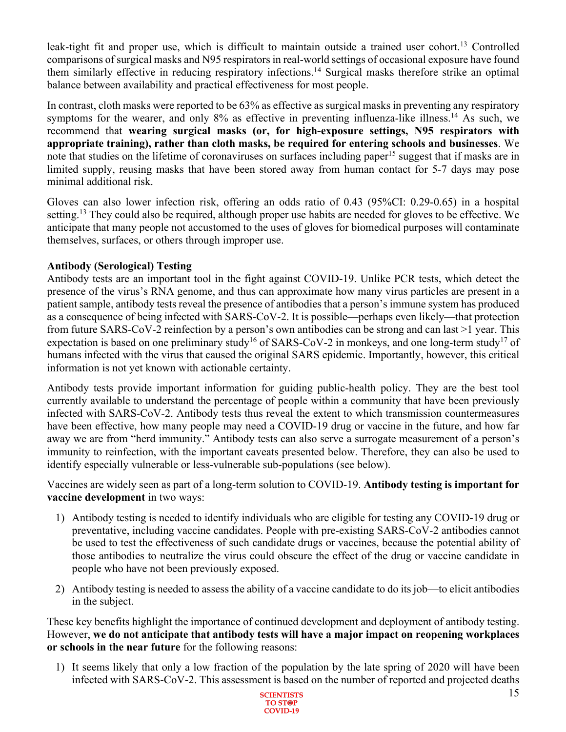leak-tight fit and proper use, which is difficult to maintain outside a trained user cohort.<sup>13</sup> Controlled comparisons of surgical masks and N95 respirators in real-world settings of occasional exposure have found them similarly effective in reducing respiratory infections.<sup>14</sup> Surgical masks therefore strike an optimal balance between availability and practical effectiveness for most people.

In contrast, cloth masks were reported to be 63% as effective as surgical masks in preventing any respiratory symptoms for the wearer, and only  $8\%$  as effective in preventing influenza-like illness.<sup>14</sup> As such, we recommend that **wearing surgical masks (or, for high-exposure settings, N95 respirators with appropriate training), rather than cloth masks, be required for entering schools and businesses**. We note that studies on the lifetime of coronaviruses on surfaces including paper<sup>15</sup> suggest that if masks are in limited supply, reusing masks that have been stored away from human contact for 5-7 days may pose minimal additional risk.

Gloves can also lower infection risk, offering an odds ratio of 0.43 (95%CI: 0.29-0.65) in a hospital setting.<sup>13</sup> They could also be required, although proper use habits are needed for gloves to be effective. We anticipate that many people not accustomed to the uses of gloves for biomedical purposes will contaminate themselves, surfaces, or others through improper use.

## **Antibody (Serological) Testing**

Antibody tests are an important tool in the fight against COVID-19. Unlike PCR tests, which detect the presence of the virus's RNA genome, and thus can approximate how many virus particles are present in a patient sample, antibody tests reveal the presence of antibodies that a person's immune system has produced as a consequence of being infected with SARS-CoV-2. It is possible—perhaps even likely—that protection from future SARS-CoV-2 reinfection by a person's own antibodies can be strong and can last >1 year. This expectation is based on one preliminary study<sup>16</sup> of SARS-CoV-2 in monkeys, and one long-term study<sup>17</sup> of humans infected with the virus that caused the original SARS epidemic. Importantly, however, this critical information is not yet known with actionable certainty.

Antibody tests provide important information for guiding public-health policy. They are the best tool currently available to understand the percentage of people within a community that have been previously infected with SARS-CoV-2. Antibody tests thus reveal the extent to which transmission countermeasures have been effective, how many people may need a COVID-19 drug or vaccine in the future, and how far away we are from "herd immunity." Antibody tests can also serve a surrogate measurement of a person's immunity to reinfection, with the important caveats presented below. Therefore, they can also be used to identify especially vulnerable or less-vulnerable sub-populations (see below).

Vaccines are widely seen as part of a long-term solution to COVID-19. **Antibody testing is important for vaccine development** in two ways:

- 1) Antibody testing is needed to identify individuals who are eligible for testing any COVID-19 drug or preventative, including vaccine candidates. People with pre-existing SARS-CoV-2 antibodies cannot be used to test the effectiveness of such candidate drugs or vaccines, because the potential ability of those antibodies to neutralize the virus could obscure the effect of the drug or vaccine candidate in people who have not been previously exposed.
- 2) Antibody testing is needed to assess the ability of a vaccine candidate to do its job—to elicit antibodies in the subject.

These key benefits highlight the importance of continued development and deployment of antibody testing. However, **we do not anticipate that antibody tests will have a major impact on reopening workplaces or schools in the near future** for the following reasons:

1) It seems likely that only a low fraction of the population by the late spring of 2020 will have been infected with SARS-CoV-2. This assessment is based on the number of reported and projected deaths

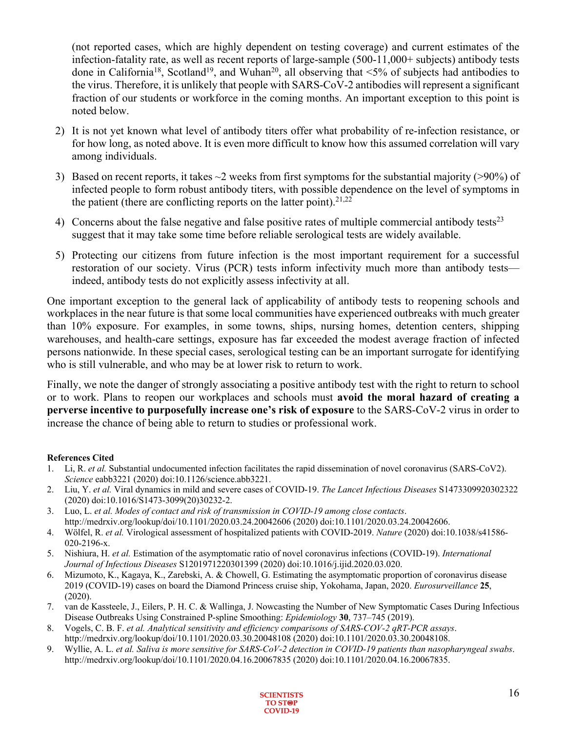(not reported cases, which are highly dependent on testing coverage) and current estimates of the infection-fatality rate, as well as recent reports of large-sample (500-11,000+ subjects) antibody tests done in California<sup>18</sup>, Scotland<sup>19</sup>, and Wuhan<sup>20</sup>, all observing that <5% of subjects had antibodies to the virus. Therefore, it is unlikely that people with SARS-CoV-2 antibodies will represent a significant fraction of our students or workforce in the coming months. An important exception to this point is noted below.

- 2) It is not yet known what level of antibody titers offer what probability of re-infection resistance, or for how long, as noted above. It is even more difficult to know how this assumed correlation will vary among individuals.
- 3) Based on recent reports, it takes  $\sim$  2 weeks from first symptoms for the substantial majority (>90%) of infected people to form robust antibody titers, with possible dependence on the level of symptoms in the patient (there are conflicting reports on the latter point).<sup>21,22</sup>
- 4) Concerns about the false negative and false positive rates of multiple commercial antibody tests<sup>23</sup> suggest that it may take some time before reliable serological tests are widely available.
- 5) Protecting our citizens from future infection is the most important requirement for a successful restoration of our society. Virus (PCR) tests inform infectivity much more than antibody tests indeed, antibody tests do not explicitly assess infectivity at all.

One important exception to the general lack of applicability of antibody tests to reopening schools and workplaces in the near future is that some local communities have experienced outbreaks with much greater than 10% exposure. For examples, in some towns, ships, nursing homes, detention centers, shipping warehouses, and health-care settings, exposure has far exceeded the modest average fraction of infected persons nationwide. In these special cases, serological testing can be an important surrogate for identifying who is still vulnerable, and who may be at lower risk to return to work.

Finally, we note the danger of strongly associating a positive antibody test with the right to return to school or to work. Plans to reopen our workplaces and schools must **avoid the moral hazard of creating a perverse incentive to purposefully increase one's risk of exposure** to the SARS-CoV-2 virus in order to increase the chance of being able to return to studies or professional work.

#### **References Cited**

- 1. Li, R. *et al.* Substantial undocumented infection facilitates the rapid dissemination of novel coronavirus (SARS-CoV2). *Science* eabb3221 (2020) doi:10.1126/science.abb3221.
- 2. Liu, Y. *et al.* Viral dynamics in mild and severe cases of COVID-19. *The Lancet Infectious Diseases* S1473309920302322 (2020) doi:10.1016/S1473-3099(20)30232-2.
- 3. Luo, L. *et al. Modes of contact and risk of transmission in COVID-19 among close contacts*. http://medrxiv.org/lookup/doi/10.1101/2020.03.24.20042606 (2020) doi:10.1101/2020.03.24.20042606.
- 4. Wölfel, R. *et al.* Virological assessment of hospitalized patients with COVID-2019. *Nature* (2020) doi:10.1038/s41586- 020-2196-x.
- 5. Nishiura, H. *et al.* Estimation of the asymptomatic ratio of novel coronavirus infections (COVID-19). *International Journal of Infectious Diseases* S1201971220301399 (2020) doi:10.1016/j.ijid.2020.03.020.
- 6. Mizumoto, K., Kagaya, K., Zarebski, A. & Chowell, G. Estimating the asymptomatic proportion of coronavirus disease 2019 (COVID-19) cases on board the Diamond Princess cruise ship, Yokohama, Japan, 2020. *Eurosurveillance* **25**, (2020).
- 7. van de Kassteele, J., Eilers, P. H. C. & Wallinga, J. Nowcasting the Number of New Symptomatic Cases During Infectious Disease Outbreaks Using Constrained P-spline Smoothing: *Epidemiology* **30**, 737–745 (2019).
- 8. Vogels, C. B. F. *et al. Analytical sensitivity and efficiency comparisons of SARS-COV-2 qRT-PCR assays*. http://medrxiv.org/lookup/doi/10.1101/2020.03.30.20048108 (2020) doi:10.1101/2020.03.30.20048108.
- 9. Wyllie, A. L. *et al. Saliva is more sensitive for SARS-CoV-2 detection in COVID-19 patients than nasopharyngeal swabs*. http://medrxiv.org/lookup/doi/10.1101/2020.04.16.20067835 (2020) doi:10.1101/2020.04.16.20067835.